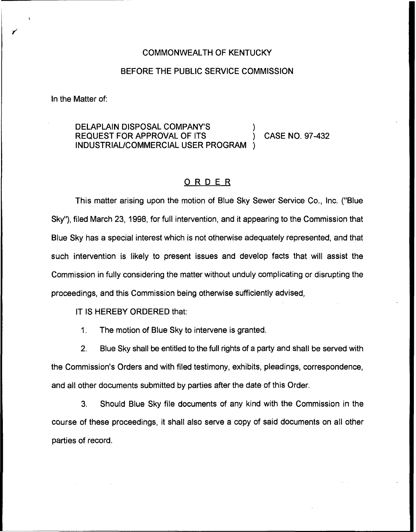## COMMONWEALTH OF KENTUCKY

## BEFORE THE PUBLIC SERVICE COMMISSION

In the Matter of:

## DELAPLAIN DISPOSAL COMPANY'S REQUEST FOR APPROVAL OF ITS ) CASE NO. 97-432 INDUSTRIAL/COMMERCIAL USER PROGRAM )

## ORDER

This matter arising upon the motion of Blue Sky Sewer Service Co., Inc. ("Blue Sky"), filed March 23, 1998, for full intervention, and it appearing to the Commission that Blue Sky has a special interest which is not otherwise adequately represented, and that such intervention is likely to present issues and develop facts that will assist the Commission in fully considering the matter without unduly complicating or disrupting the proceedings, and this Commission being otherwise sufficiently advised,

IT IS HEREBY ORDERED that:

1. The motion of Blue Sky to intervene is granted.

2. Blue Sky shall be entitled to the full rights of a party and shall be served with the Commission's Orders and with filed testimony, exhibits, pleadings, correspondence, and all other documents submitted by parties after the date of this Order.

3. Should Blue Sky file documents of any kind with the Commission in the course of these proceedings, it shall also serve a copy of said documents on all other parties of record.